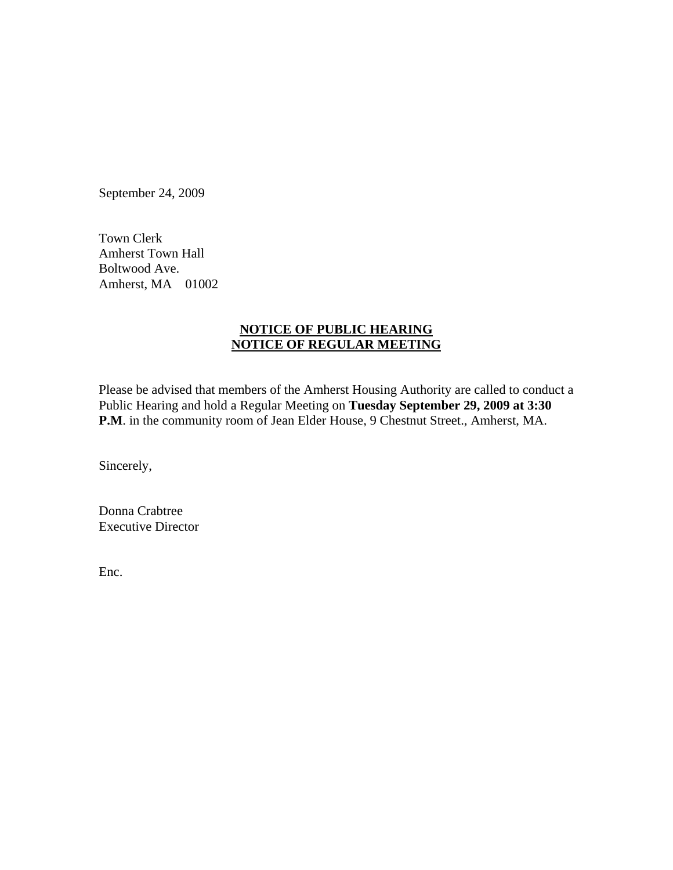September 24, 2009

Town Clerk Amherst Town Hall Boltwood Ave. Amherst, MA 01002

## **NOTICE OF PUBLIC HEARING NOTICE OF REGULAR MEETING**

Please be advised that members of the Amherst Housing Authority are called to conduct a Public Hearing and hold a Regular Meeting on **Tuesday September 29, 2009 at 3:30 P.M**. in the community room of Jean Elder House, 9 Chestnut Street., Amherst, MA.

Sincerely,

Donna Crabtree Executive Director

Enc.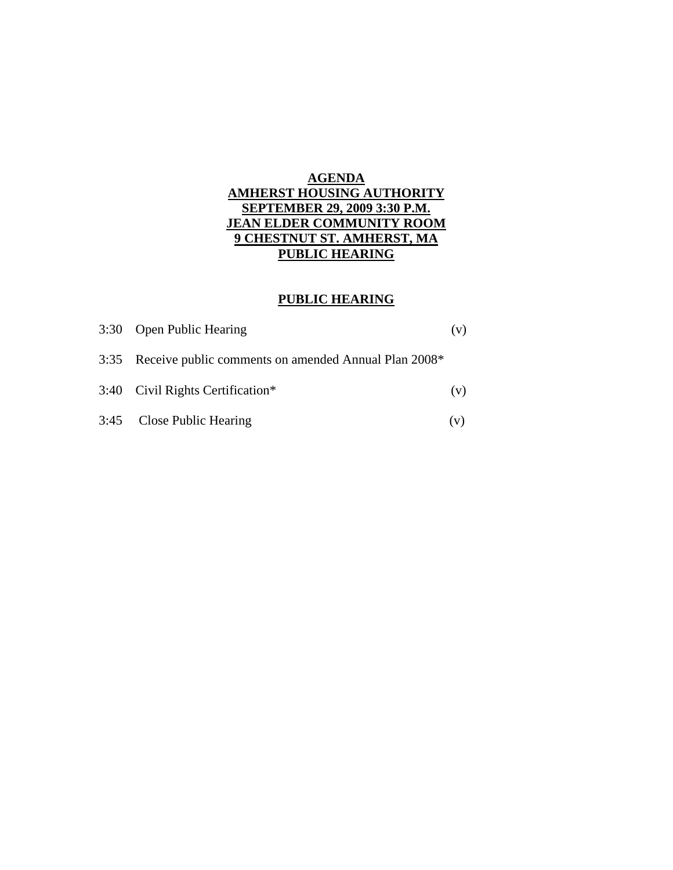## **AGENDA AMHERST HOUSING AUTHORITY SEPTEMBER 29, 2009 3:30 P.M. JEAN ELDER COMMUNITY ROOM 9 CHESTNUT ST. AMHERST, MA PUBLIC HEARING**

## **PUBLIC HEARING**

| 3:30 Open Public Hearing                                  | (v) |
|-----------------------------------------------------------|-----|
| 3:35 Receive public comments on amended Annual Plan 2008* |     |
| 3:40 Civil Rights Certification*                          | (v) |
| 3:45 Close Public Hearing                                 | (v) |